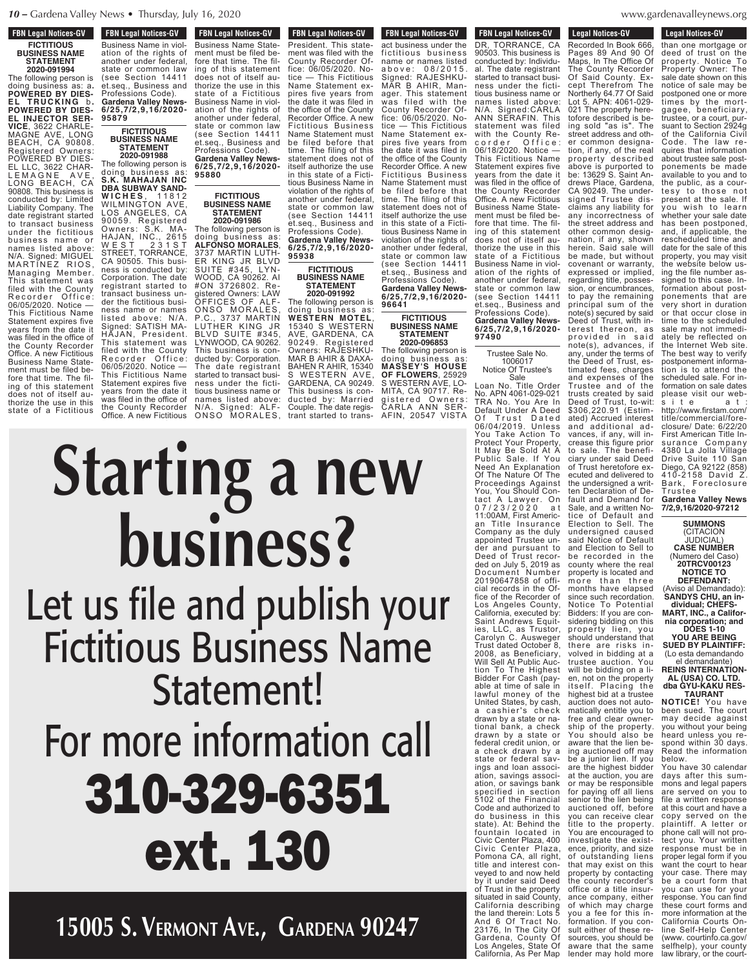## **FBN Legal Notices-GV FICTITIOUS BUSINESS NAME STATEMENT**

**2020-091994** The following person is doing business as: a**. POWERED BY DIES-EL T R U C K I NG** b **. POWERED BY DIES-EL INJECTOR SER-VICE**, 3622 CHARLE-MAGNE AVE, LONG BEACH, CA 90808. Registered Owners: POWERED BY DIES-EL LLC, 3622 CHAR-L E M A G N E A V E , LONG BEACH, CA 90808. This business is

conducted by: Limited Liability Company. The date registrant started to transact business under the fictitious business name or names listed above: N/A. Signed: MIGUEL MARTINEZ RIOS, Managing Member. This statement was filed with the County Recorder Office: 06/05/2020. Notice — This Fictitious Name Statement expires five years from the date it was filed in the office of the County Recorder Office. A new Fictitious Business Name Statement must be filed before that time. The filing of this statement does not of itself authorize the use in this state of a Fictitious

**FBN Legal Notices-GV FIGURE CONSTRUCTS** Business Name in violation of the rights of another under federal, state or common law state Streammont Tan et.seq., Business and Professions Code). **Gardena Valley News-6/25,7/2,9,16/2020- 95879**

## **FICTITIOUS BUSINESS NAME STATEMENT 2020-091988**

**6/25,7/2,9,16/2020- 95880 FICTITIOUS BUSINESS NAME STATEMENT 2020-091986** The following person is doing business as: The following person is doing business as: **S.K. MAHAJAN INC DBA SUBWAY SAND-W I C H E S** , 1 1 8 1 2 WILMINGTON AVE, LOS ANGELES, CA 90059. Registered Owners: S.K. MA-

**ALFONSO MORALES**, 3737 MARTIN LUTH-ER KING JR BLVD SUITE #345, LYN-WOOD, CA 90262. AI #ON 3726802. Registered Owners: LAW OFFICES OF ALF-ONSO MORALES, P.C., 3737 MARTIN LUTHER KING JR BLVD SUITE #345, LYNWOOD, CA 90262. This business is conducted by: Corporation. The date registrant started to transact business under the fictitious business name or names listed above: N/A. Signed: ALF-ONSO MORALES, HAJAN, INC., 2615 W E S T 2 3 1 S T STREET, TORRANCE, CA 90505. This business is conducted by: Corporation. The date registrant started to transact business under the fictitious business name or names listed above: N/A. Signed: SATISH MA-HAJAN, President. This statement was filed with the County Recorder Office: 06/05/2020. Notice — This Fictitious Name Statement expires five years from the date it was filed in the office of the County Recorder Office. A new Fictitious

**FBN Legal Notices-GV TEN LEGAL NULLES-GV** President. This statement was filed with the County Recorder Office: 06/05/2020. Notice — This Fictitious Name Statement expires five years from the date it was filed in the office of the County Recorder Office. A new Fictitious Business Name Statement must be filed before that time. The filing of this statement does not of itself authorize the use in this state of a Fictitious Business Name in violation of the rights of another under federal, state or common law (see Section 14411 et.seq., Business and Professions Code). **Gardena Valley News-6/25,7/2,9,16/2020- FBN Legal Notices-GV FIGURE FIGURES-CITY** Business Name Statement must be filed before that time. The filing of this statement does not of itself authorize the use in this state of a Fictitious Business Name in violation of the rights of another under federal, state or common law (see Section 14411 et.seq., Business and Professions Code). **Gardena Valley News-**

**95938 FICTITIOUS BUSINESS NAME**

# **STATEMENT 2020-091992** The following person is

doing business as: **WESTERN MOTEL**, 15340 S WESTERN AVE, GARDENA, CA 90249. Registered Owners: RAJESHKU-MAR B AHIR & DAXA-BAHEN R AHIR, 15340 S WESTERN AVE, GARDENA, CA 90249. This business is conducted by: Married Couple. The date registrant started to trans-

**FBN Legal Notices-GV** rbn Leyal Nullles-dv act business under the fictitious business name or names listed above: 08/2015 Signed: RAJESHKU-MAR B AHIR, Manager. This statement was filed with the County Recorder Office: 06/05/2020. Notice — This Fictitious Name Statement expires five years from the date it was filed in the office of the County Recorder Office. A new Fictitious Business Name Statement must be filed before that time. The filing of this statement does not of itself authorize the use in this state of a Fictitious Business Name in violation of the rights of another under federal, state or common law (see Section 14411 et.seq., Business and Professions Code). **Gardena Valley News-**

**96641 FICTITIOUS BUSINESS NAME STATEMENT**

**6/25,7/2,9,16/2020-**

**2020-096853** The following person is doing business as: **MASSEY'S HOUSE OF FLOWERS**, 25929 S WESTERN AVE, LO-MITA, CA 90717. Registered Owners: CARLA ANN SER-AFIN, 20547 VISTA

conducted by: Individual. The date registrant started to transact business under the fictitious business name or names listed above: N/A. Signed:CARLA ANN SERAFIN. This statement was filed with the County Recorder Office: 06/18/2020. Notice — This Fictitious Name Statement expires five years from the date it was filed in the office of the County Recorder Office. A new Fictitious Business Name Statement must be filed before that time. The filing of this statement does not of itself authorize the use in this state of a Fictitious Business Name in violation of the rights of another under federal, state or common law (see Section 14411 et.seq., Business and Professions Code). **Gardena Valley News-6/25,7/2,9,16/2020- 97490**

**FBN Legal Notices-GV FIN LEYAL NULLES-UV** DR, TORRANCE, CA 90503. This business is

#### Trustee Sale No. 1006017 Notice Of Trustee's Sale

Loan No. Title Order No. APN 4061-029-021 TRA No. You Are In Default Under A Deed Of Trust Dated 06/04/2019. Unless You Take Action To Protect Your Property, It May Be Sold At A Public Sale. If You Need An Explanation Of The Nature Of The Proceedings Against You, You Should Contact A Lawyer. On 0 7 / 2 3 / 2 0 2 0 a t 11:00AM, First American Title Insurance Company as the duly appointed Trustee under and pursuant to Deed of Trust recorded on July 5, 2019 as Document Number 20190647858 of official records in the Office of the Recorder of Los Angeles County, California, executed by: Saint Andrews Equities, LLC, as Trustor, Carolyn C. Ausweger Trust dated October 8, 2008, as Beneficiary, Will Sell At Public Auction To The Highest Bidder For Cash (payable at time of sale in lawful money of the United States, by cash,<br>a cashier's check drawn by a state or national bank, a check drawn by a state or federal credit union, or a check drawn by a state or federal savings and loan association, savings association, or savings bank specified in section 5102 of the Financial Code and authorized to do business in this state). At: Behind the fountain located in Civic Center Plaza, 400 Civic Center Plaza, Pomona CA, all right, title and interest conveyed to and now held by it under said Deed of Trust in the property situated in said County, California describing the land therein: Lots 5 And 6 Of Tract No. 23176, In The City Of Gardena, County Of Los Angeles, State Of California, As Per Map Recorded In Book 666,

denavalleynews.org  $s$ sona rano $\gamma$ no no no  $\sigma$ 23176, IN WW. Of Gardena, County Of

**Legal Notices-GV** Legal Nutries-dv

than one mortgage or deed of trust on the property. Notice To Property Owner: The sale date shown on this notice of sale may be postponed one or more times by the mortgagee, beneficiary, trustee, or a court, pursuant to Section 2924g of the California Civil Code. The law requires that information about trustee sale postponements be made below. **Legal Notices-GV** Legal Nutles-GV Recorded In Book 666, Pages 89 And 90 Of Maps, In The Office Of The County Recorder Of Said County. Except Therefrom The Northerly 64.77 Of Said Lot 5. APN: 4061-029- 021 The property heretofore described is being sold "as is". The street address and other common designation, if any, of the real property described above is purported to be: 13629 S. Saint Andrews Place, Gardena, CA 90249. The undersigned Trustee disclaims any liability for any incorrectness of the street address and other common designation, if any, shown herein. Said sale will be made, but without covenant or warranty, expressed or implied, regarding title, possession, or encumbrances, to pay the remaining principal sum of the note(s) secured by said Deed of Trust, with interest thereon, as provided in said note(s), advances, if any, under the terms of the Deed of Trust, estimated fees, charges and expenses of the Trustee and of the trusts created by said Deed of Trust, to-wit: \$306,220.91 (Estimated) Accrued interest and additional advances, if any, will increase this figure prior to sale. The beneficiary under said Deed of Trust heretofore executed and delivered to the undersigned a written Declaration of Default and Demand for Sale, and a written Notice of Default and Election to Sell. The undersigned caused said Notice of Default and Election to Sell to be recorded in the county where the real property is located and more than three months have elapsed since such recordation. Notice To Potential Bidders: If you are considering bidding on this property lien, you should understand that there are risks involved in bidding at a trustee auction. You will be bidding on a lien, not on the property itself. Placing the highest bid at a trustee auction does not auto-matically entitle you to free and clear ownership of the property. You should also be aware that the lien being auctioned off may be a junior lien. If you are the highest bidder at the auction, you are or may be responsible for paying off all liens senior to the lien being auctioned off, before you can receive clear title to the property. You are encouraged to investigate the existence, priority, and size of outstanding liens that may exist on this property by contacting the county recorder's office or a title insurance company, either of which may charge you a fee for this information. If you consult either of these re-

sources, you should be aware that the same lender may hold more

available to you and to the public, as a courtesy to those not present at the sale. If you wish to learn whether your sale date has been postponed, and, if applicable, the rescheduled time and date for the sale of this property, you may visit the website below using the file number assigned to this case. Information about postponements that are very short in duration or that occur close in time to the scheduled sale may not immediately be reflected on the Internet Web site. The best way to verify postponement information is to attend the scheduled sale. For information on sale dates please visit our webs i t e a t : http://www.firstam.com/ title/commercial/foreclosure/ Date: 6/22/20 First American Title Insurance Company 4380 La Jolla Village Drive Suite 110 San Diego, CA 92122 (858) 410-2158 David Z. Bark, Foreclosure Tr u s t e e **Gardena Valley News 7/2,9,16/2020-97212 SUMMONS** (CITACION JUDICIAL) **CASE NUMBER** (Numero del Caso) **20TRCV00123 NOTICE TO DEFENDANT:** (Aviso al Demandado): **SANDYS CHU, an individual; CHEFS-MART, INC., a California corporation; and DOES 1-10 YOU ARE BEING SUED BY PLAINTIFF:** (Lo esta demandando el demandante) **REINS INTERNATION-AL (USA) CO. LTD. dba GYU-KAKU RES-TAURANT NOTICE!** You have been sued. The court may decide against you without your being heard unless you respond within 30 days. Read the information You have 30 calendar days after this summons and legal papers are served on you to a written response at this court and have a copy served on the plaintiff. A letter or phone call will not protect you. Your written response must be in proper legal form if you want the court to hear your case. There may be a court form that you can use for your response. You can find these court forms and more information at the California Courts Online Self-Help Center (www. courtinfo.ca.gov/ selfhelp), your county<br>law library, or the court-<br>

#### started to transact business under the fiction of  $\mathcal{L}$ tious business name or names listed above: N/A. Signed:CARLA ANN SERAFIN. This  $\overline{\mathbf{M}}$ ve je sta  $\mathbf{y}$  van thorize the use in this  $ma \wedge$  $\blacksquare$ and under Signed: RAJESHKU-MAR B AHIR, Manager. This statement was field with the set County Recorder Of- $\bullet$  -  $\bullet$ Name Statement expires five years from  $\sim$  date it was filed in the interval of  $\sim$  $\boldsymbol{\alpha}$  of the  $\boldsymbol{\beta}$ Recorder Office. A new  $F \times F$ UU O  $\bullet$  filed before the filed before that  $\bullet$ ihlich tious Business Name in a bin sin state or common law 166 N.C et.seq., Business and Professions Code). **Gardena Valley News-6/25,7/2,9,16/2020- 96641** Statement!  $\overline{\phantom{a}}$   $\overline{\phantom{a}}$   $\overline{\phantom{a}}$   $\overline{\phantom{a}}$ Name Statement expires five years from the date is  $\mathcal{L}$ the office of the County Recorder Office. A new  $\blacksquare$  $\sim$ be filed before that  $t = t - t$ statement does not of itself authorize the use in this state of a Fictitious Business Name in violation of the rights of  $\overline{\phantom{a}}$ et.seq., Business and Professions Code). **Gardena Valley News-6/25,7/2,9,16/2020- 95938** fore that time. The filing of this statement does not of itself au**the user** the use  $\mathbf{r}$ state of a Fictitious  $\blacksquare$ ation of the rights of  $\overline{\ }$ (see Section 14411 et.seq., Business and Professions Code). **Gardena Valley News-6/25,7/2,9,16/2020- 95880** state or common law  $\sim$  Section 144111 et.seq., Business and Professions Code). **Gardena Valley News-6/25,7/2,9,16/2020- <sup>95879</sup> Starting a new business?** Let us file and publish your Fictitious Business Name For more information call 310-329-6351 ext. 130

**15005 S. Vermont Ave., Gardena 90247**